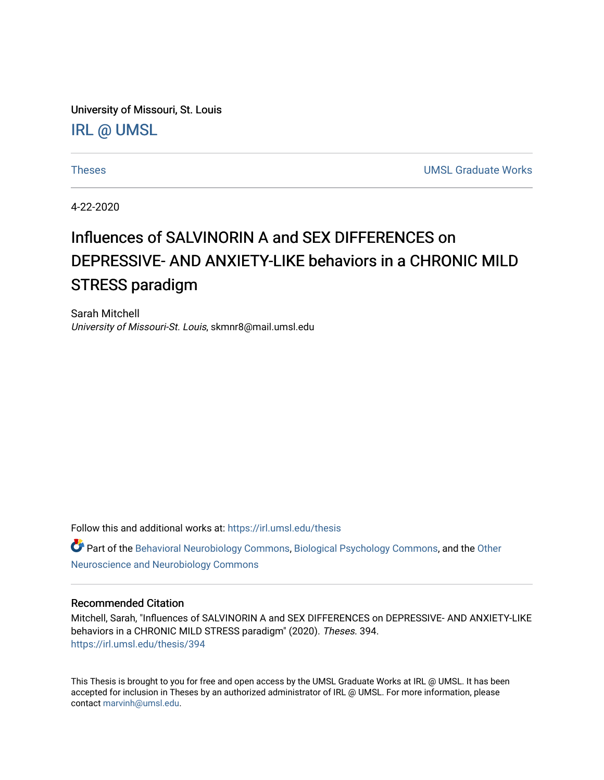University of Missouri, St. Louis [IRL @ UMSL](https://irl.umsl.edu/) 

[Theses](https://irl.umsl.edu/thesis) [UMSL Graduate Works](https://irl.umsl.edu/grad) 

4-22-2020

# Influences of SALVINORIN A and SEX DIFFERENCES on DEPRESSIVE- AND ANXIETY-LIKE behaviors in a CHRONIC MILD STRESS paradigm

Sarah Mitchell University of Missouri-St. Louis, skmnr8@mail.umsl.edu

Follow this and additional works at: [https://irl.umsl.edu/thesis](https://irl.umsl.edu/thesis?utm_source=irl.umsl.edu%2Fthesis%2F394&utm_medium=PDF&utm_campaign=PDFCoverPages) 

Part of the [Behavioral Neurobiology Commons,](https://network.bepress.com/hgg/discipline/56?utm_source=irl.umsl.edu%2Fthesis%2F394&utm_medium=PDF&utm_campaign=PDFCoverPages) [Biological Psychology Commons](https://network.bepress.com/hgg/discipline/405?utm_source=irl.umsl.edu%2Fthesis%2F394&utm_medium=PDF&utm_campaign=PDFCoverPages), and the [Other](https://network.bepress.com/hgg/discipline/62?utm_source=irl.umsl.edu%2Fthesis%2F394&utm_medium=PDF&utm_campaign=PDFCoverPages) [Neuroscience and Neurobiology Commons](https://network.bepress.com/hgg/discipline/62?utm_source=irl.umsl.edu%2Fthesis%2F394&utm_medium=PDF&utm_campaign=PDFCoverPages)

#### Recommended Citation

Mitchell, Sarah, "Influences of SALVINORIN A and SEX DIFFERENCES on DEPRESSIVE- AND ANXIETY-LIKE behaviors in a CHRONIC MILD STRESS paradigm" (2020). Theses. 394. [https://irl.umsl.edu/thesis/394](https://irl.umsl.edu/thesis/394?utm_source=irl.umsl.edu%2Fthesis%2F394&utm_medium=PDF&utm_campaign=PDFCoverPages) 

This Thesis is brought to you for free and open access by the UMSL Graduate Works at IRL @ UMSL. It has been accepted for inclusion in Theses by an authorized administrator of IRL @ UMSL. For more information, please contact [marvinh@umsl.edu.](mailto:marvinh@umsl.edu)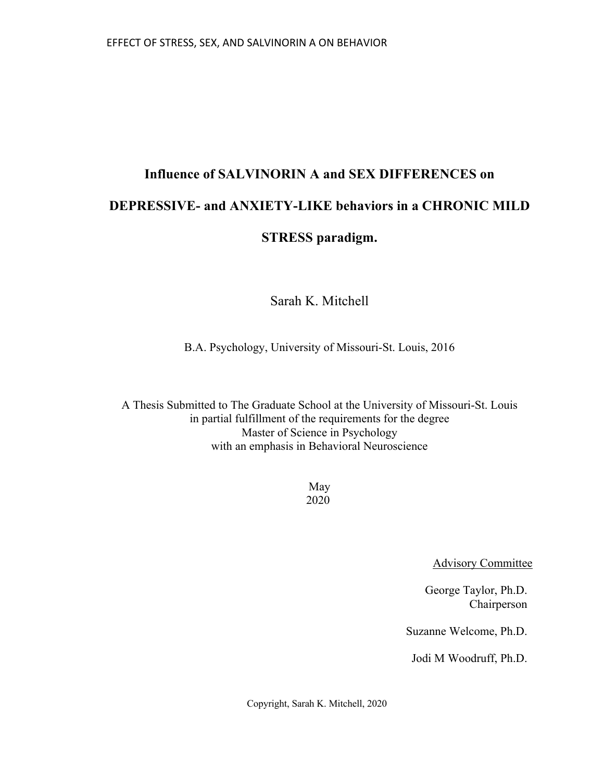# **Influence of SALVINORIN A and SEX DIFFERENCES on DEPRESSIVE- and ANXIETY-LIKE behaviors in a CHRONIC MILD STRESS paradigm.**

Sarah K. Mitchell

B.A. Psychology, University of Missouri-St. Louis, 2016

A Thesis Submitted to The Graduate School at the University of Missouri-St. Louis in partial fulfillment of the requirements for the degree Master of Science in Psychology with an emphasis in Behavioral Neuroscience

> May 2020

> > Advisory Committee

George Taylor, Ph.D. Chairperson

Suzanne Welcome, Ph.D.

Jodi M Woodruff, Ph.D.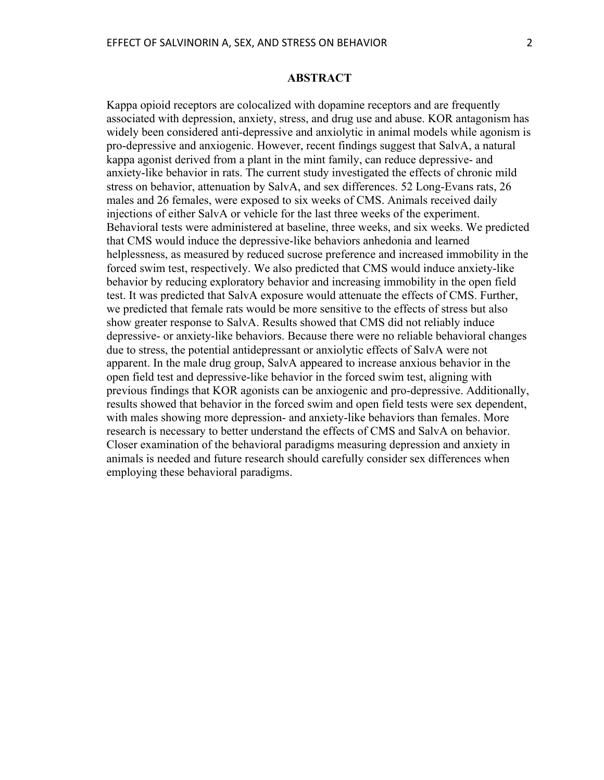Kappa opioid receptors are colocalized with dopamine receptors and are frequently associated with depression, anxiety, stress, and drug use and abuse. KOR antagonism has widely been considered anti-depressive and anxiolytic in animal models while agonism is pro-depressive and anxiogenic. However, recent findings suggest that SalvA, a natural kappa agonist derived from a plant in the mint family, can reduce depressive- and anxiety-like behavior in rats. The current study investigated the effects of chronic mild stress on behavior, attenuation by SalvA, and sex differences. 52 Long-Evans rats, 26 males and 26 females, were exposed to six weeks of CMS. Animals received daily injections of either SalvA or vehicle for the last three weeks of the experiment. Behavioral tests were administered at baseline, three weeks, and six weeks. We predicted that CMS would induce the depressive-like behaviors anhedonia and learned helplessness, as measured by reduced sucrose preference and increased immobility in the forced swim test, respectively. We also predicted that CMS would induce anxiety-like behavior by reducing exploratory behavior and increasing immobility in the open field test. It was predicted that SalvA exposure would attenuate the effects of CMS. Further, we predicted that female rats would be more sensitive to the effects of stress but also show greater response to SalvA. Results showed that CMS did not reliably induce depressive- or anxiety-like behaviors. Because there were no reliable behavioral changes due to stress, the potential antidepressant or anxiolytic effects of SalvA were not apparent. In the male drug group, SalvA appeared to increase anxious behavior in the open field test and depressive-like behavior in the forced swim test, aligning with previous findings that KOR agonists can be anxiogenic and pro-depressive. Additionally, results showed that behavior in the forced swim and open field tests were sex dependent, with males showing more depression- and anxiety-like behaviors than females. More research is necessary to better understand the effects of CMS and SalvA on behavior. Closer examination of the behavioral paradigms measuring depression and anxiety in animals is needed and future research should carefully consider sex differences when employing these behavioral paradigms.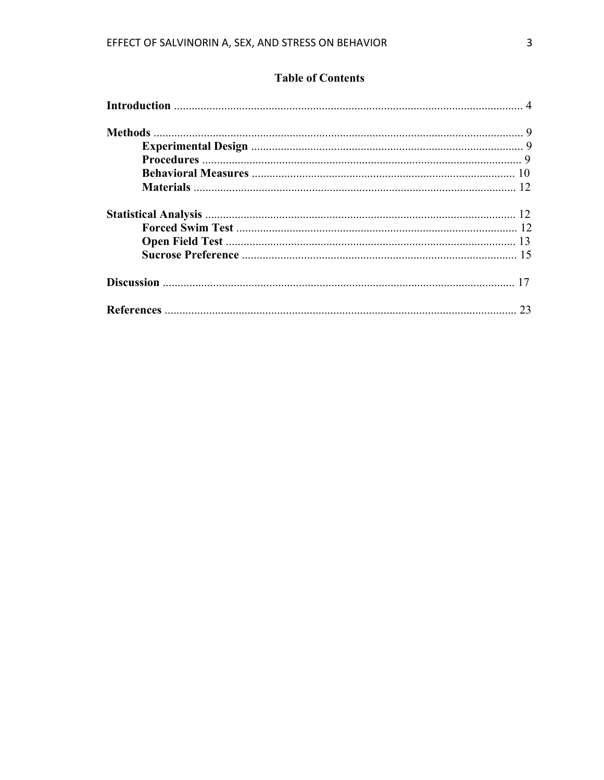### **Table of Contents**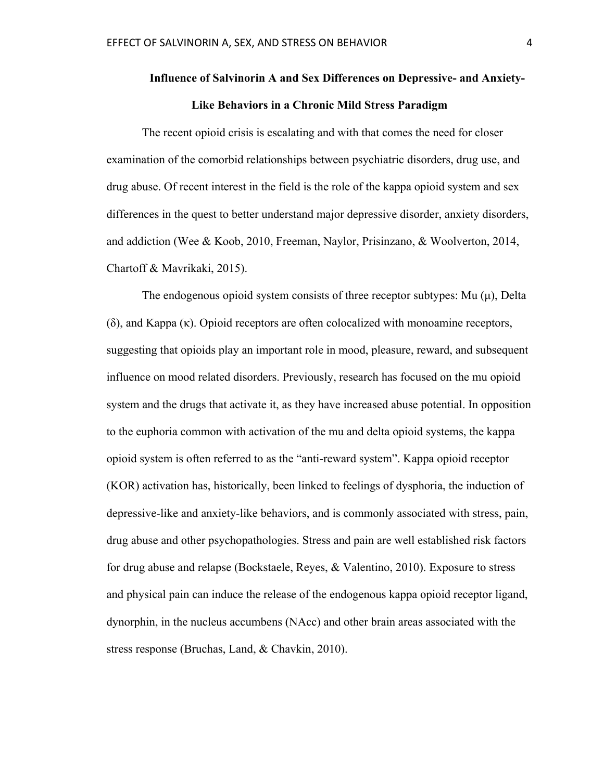## **Influence of Salvinorin A and Sex Differences on Depressive- and Anxiety-Like Behaviors in a Chronic Mild Stress Paradigm**

The recent opioid crisis is escalating and with that comes the need for closer examination of the comorbid relationships between psychiatric disorders, drug use, and drug abuse. Of recent interest in the field is the role of the kappa opioid system and sex differences in the quest to better understand major depressive disorder, anxiety disorders, and addiction (Wee & Koob, 2010, Freeman, Naylor, Prisinzano, & Woolverton, 2014, Chartoff & Mavrikaki, 2015).

The endogenous opioid system consists of three receptor subtypes: Mu (μ), Delta (δ), and Kappa (κ). Opioid receptors are often colocalized with monoamine receptors, suggesting that opioids play an important role in mood, pleasure, reward, and subsequent influence on mood related disorders. Previously, research has focused on the mu opioid system and the drugs that activate it, as they have increased abuse potential. In opposition to the euphoria common with activation of the mu and delta opioid systems, the kappa opioid system is often referred to as the "anti-reward system". Kappa opioid receptor (KOR) activation has, historically, been linked to feelings of dysphoria, the induction of depressive-like and anxiety-like behaviors, and is commonly associated with stress, pain, drug abuse and other psychopathologies. Stress and pain are well established risk factors for drug abuse and relapse (Bockstaele, Reyes, & Valentino, 2010). Exposure to stress and physical pain can induce the release of the endogenous kappa opioid receptor ligand, dynorphin, in the nucleus accumbens (NAcc) and other brain areas associated with the stress response (Bruchas, Land, & Chavkin, 2010).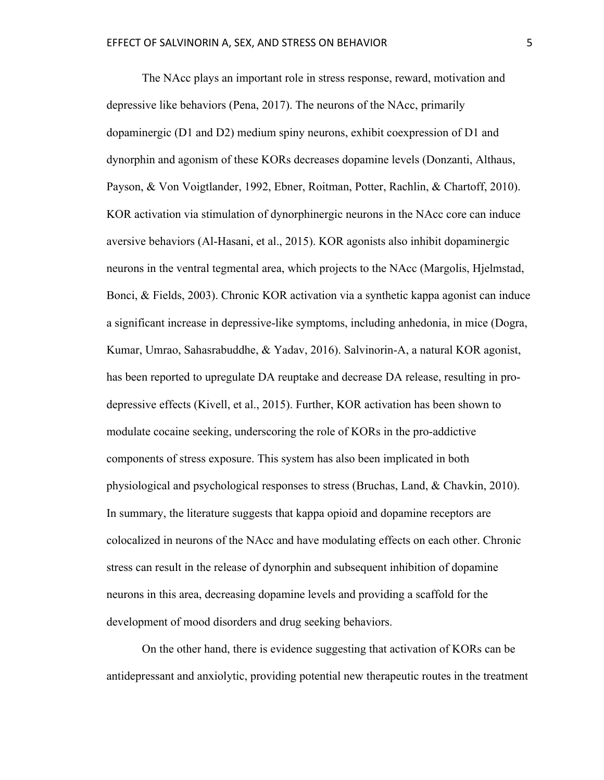The NAcc plays an important role in stress response, reward, motivation and depressive like behaviors (Pena, 2017). The neurons of the NAcc, primarily dopaminergic (D1 and D2) medium spiny neurons, exhibit coexpression of D1 and dynorphin and agonism of these KORs decreases dopamine levels (Donzanti, Althaus, Payson, & Von Voigtlander, 1992, Ebner, Roitman, Potter, Rachlin, & Chartoff, 2010). KOR activation via stimulation of dynorphinergic neurons in the NAcc core can induce aversive behaviors (Al-Hasani, et al., 2015). KOR agonists also inhibit dopaminergic neurons in the ventral tegmental area, which projects to the NAcc (Margolis, Hjelmstad, Bonci, & Fields, 2003). Chronic KOR activation via a synthetic kappa agonist can induce a significant increase in depressive-like symptoms, including anhedonia, in mice (Dogra, Kumar, Umrao, Sahasrabuddhe, & Yadav, 2016). Salvinorin-A, a natural KOR agonist, has been reported to upregulate DA reuptake and decrease DA release, resulting in prodepressive effects (Kivell, et al., 2015). Further, KOR activation has been shown to modulate cocaine seeking, underscoring the role of KORs in the pro-addictive components of stress exposure. This system has also been implicated in both physiological and psychological responses to stress (Bruchas, Land, & Chavkin, 2010). In summary, the literature suggests that kappa opioid and dopamine receptors are colocalized in neurons of the NAcc and have modulating effects on each other. Chronic stress can result in the release of dynorphin and subsequent inhibition of dopamine neurons in this area, decreasing dopamine levels and providing a scaffold for the development of mood disorders and drug seeking behaviors.

On the other hand, there is evidence suggesting that activation of KORs can be antidepressant and anxiolytic, providing potential new therapeutic routes in the treatment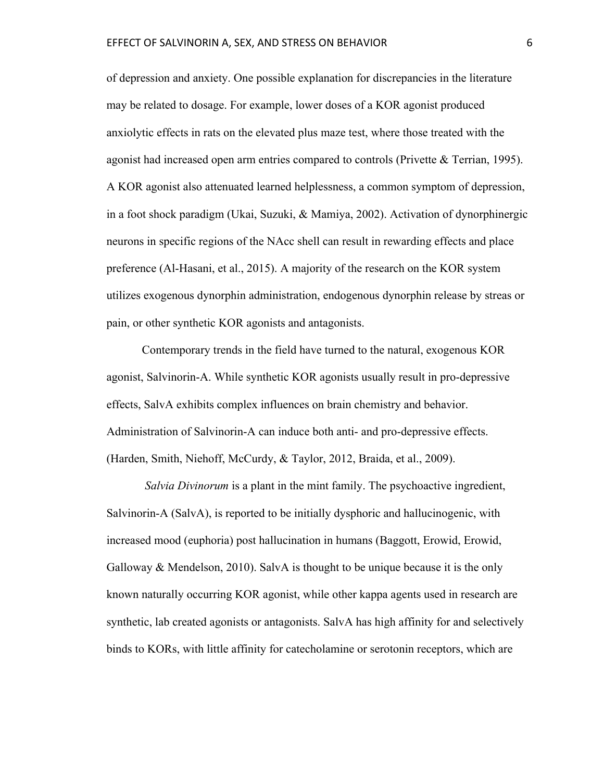of depression and anxiety. One possible explanation for discrepancies in the literature may be related to dosage. For example, lower doses of a KOR agonist produced anxiolytic effects in rats on the elevated plus maze test, where those treated with the agonist had increased open arm entries compared to controls (Privette & Terrian, 1995). A KOR agonist also attenuated learned helplessness, a common symptom of depression, in a foot shock paradigm (Ukai, Suzuki, & Mamiya, 2002). Activation of dynorphinergic neurons in specific regions of the NAcc shell can result in rewarding effects and place preference (Al-Hasani, et al., 2015). A majority of the research on the KOR system utilizes exogenous dynorphin administration, endogenous dynorphin release by streas or pain, or other synthetic KOR agonists and antagonists.

Contemporary trends in the field have turned to the natural, exogenous KOR agonist, Salvinorin-A. While synthetic KOR agonists usually result in pro-depressive effects, SalvA exhibits complex influences on brain chemistry and behavior. Administration of Salvinorin-A can induce both anti- and pro-depressive effects. (Harden, Smith, Niehoff, McCurdy, & Taylor, 2012, Braida, et al., 2009).

*Salvia Divinorum* is a plant in the mint family. The psychoactive ingredient, Salvinorin-A (SalvA), is reported to be initially dysphoric and hallucinogenic, with increased mood (euphoria) post hallucination in humans (Baggott, Erowid, Erowid, Galloway & Mendelson, 2010). SalvA is thought to be unique because it is the only known naturally occurring KOR agonist, while other kappa agents used in research are synthetic, lab created agonists or antagonists. SalvA has high affinity for and selectively binds to KORs, with little affinity for catecholamine or serotonin receptors, which are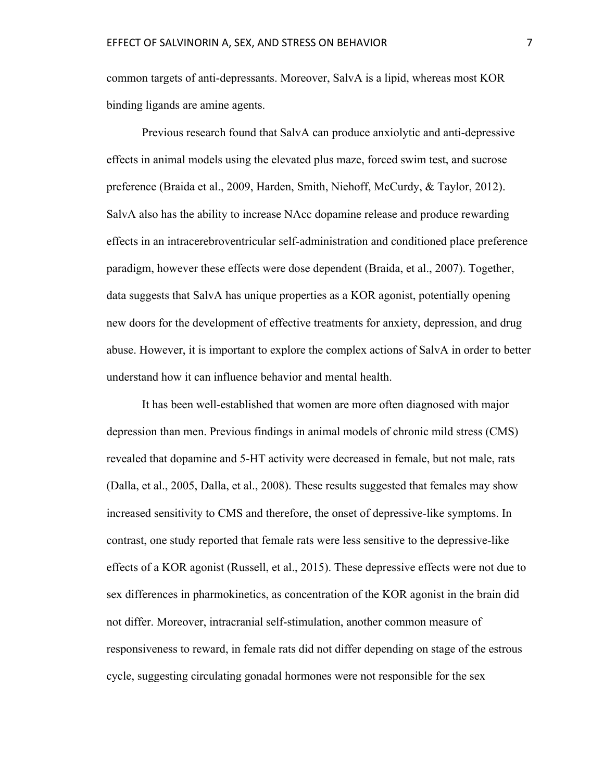common targets of anti-depressants. Moreover, SalvA is a lipid, whereas most KOR binding ligands are amine agents.

Previous research found that SalvA can produce anxiolytic and anti-depressive effects in animal models using the elevated plus maze, forced swim test, and sucrose preference (Braida et al., 2009, Harden, Smith, Niehoff, McCurdy, & Taylor, 2012). SalvA also has the ability to increase NAcc dopamine release and produce rewarding effects in an intracerebroventricular self-administration and conditioned place preference paradigm, however these effects were dose dependent (Braida, et al., 2007). Together, data suggests that SalvA has unique properties as a KOR agonist, potentially opening new doors for the development of effective treatments for anxiety, depression, and drug abuse. However, it is important to explore the complex actions of SalvA in order to better understand how it can influence behavior and mental health.

It has been well-established that women are more often diagnosed with major depression than men. Previous findings in animal models of chronic mild stress (CMS) revealed that dopamine and 5-HT activity were decreased in female, but not male, rats (Dalla, et al., 2005, Dalla, et al., 2008). These results suggested that females may show increased sensitivity to CMS and therefore, the onset of depressive-like symptoms. In contrast, one study reported that female rats were less sensitive to the depressive-like effects of a KOR agonist (Russell, et al., 2015). These depressive effects were not due to sex differences in pharmokinetics, as concentration of the KOR agonist in the brain did not differ. Moreover, intracranial self-stimulation, another common measure of responsiveness to reward, in female rats did not differ depending on stage of the estrous cycle, suggesting circulating gonadal hormones were not responsible for the sex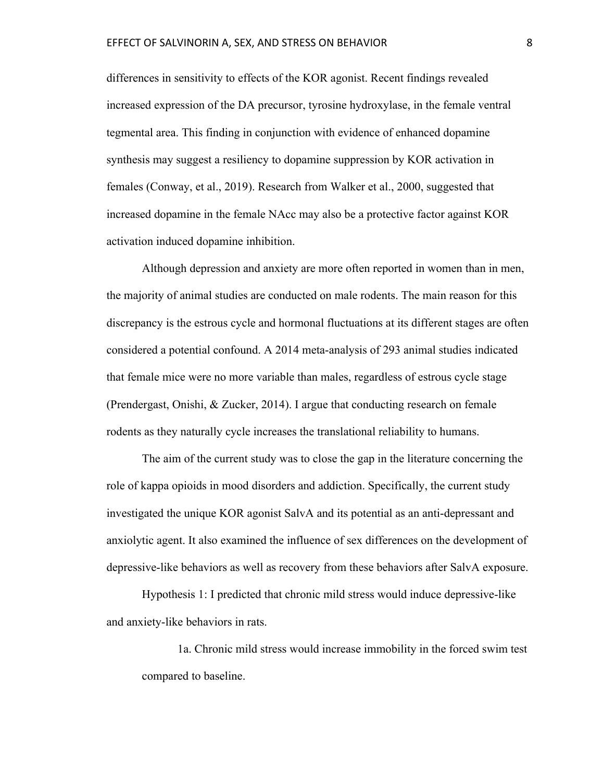differences in sensitivity to effects of the KOR agonist. Recent findings revealed increased expression of the DA precursor, tyrosine hydroxylase, in the female ventral tegmental area. This finding in conjunction with evidence of enhanced dopamine synthesis may suggest a resiliency to dopamine suppression by KOR activation in females (Conway, et al., 2019). Research from Walker et al., 2000, suggested that increased dopamine in the female NAcc may also be a protective factor against KOR activation induced dopamine inhibition.

Although depression and anxiety are more often reported in women than in men, the majority of animal studies are conducted on male rodents. The main reason for this discrepancy is the estrous cycle and hormonal fluctuations at its different stages are often considered a potential confound. A 2014 meta-analysis of 293 animal studies indicated that female mice were no more variable than males, regardless of estrous cycle stage (Prendergast, Onishi, & Zucker, 2014). I argue that conducting research on female rodents as they naturally cycle increases the translational reliability to humans.

The aim of the current study was to close the gap in the literature concerning the role of kappa opioids in mood disorders and addiction. Specifically, the current study investigated the unique KOR agonist SalvA and its potential as an anti-depressant and anxiolytic agent. It also examined the influence of sex differences on the development of depressive-like behaviors as well as recovery from these behaviors after SalvA exposure.

Hypothesis 1: I predicted that chronic mild stress would induce depressive-like and anxiety-like behaviors in rats.

1a. Chronic mild stress would increase immobility in the forced swim test compared to baseline.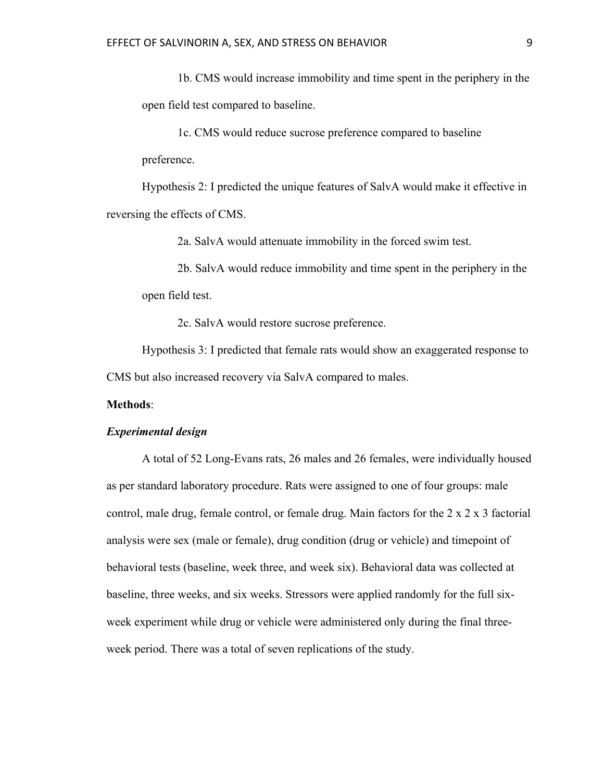1b. CMS would increase immobility and time spent in the periphery in the open field test compared to baseline.

1c. CMS would reduce sucrose preference compared to baseline preference.

Hypothesis 2: I predicted the unique features of SalvA would make it effective in reversing the effects of CMS.

2a. SalvA would attenuate immobility in the forced swim test.

2b. SalvA would reduce immobility and time spent in the periphery in the open field test.

2c. SalvA would restore sucrose preference.

Hypothesis 3: I predicted that female rats would show an exaggerated response to CMS but also increased recovery via SalvA compared to males.

#### **Methods**:

#### *Experimental design*

A total of 52 Long-Evans rats, 26 males and 26 females, were individually housed as per standard laboratory procedure. Rats were assigned to one of four groups: male control, male drug, female control, or female drug. Main factors for the 2 x 2 x 3 factorial analysis were sex (male or female), drug condition (drug or vehicle) and timepoint of behavioral tests (baseline, week three, and week six). Behavioral data was collected at baseline, three weeks, and six weeks. Stressors were applied randomly for the full sixweek experiment while drug or vehicle were administered only during the final threeweek period. There was a total of seven replications of the study.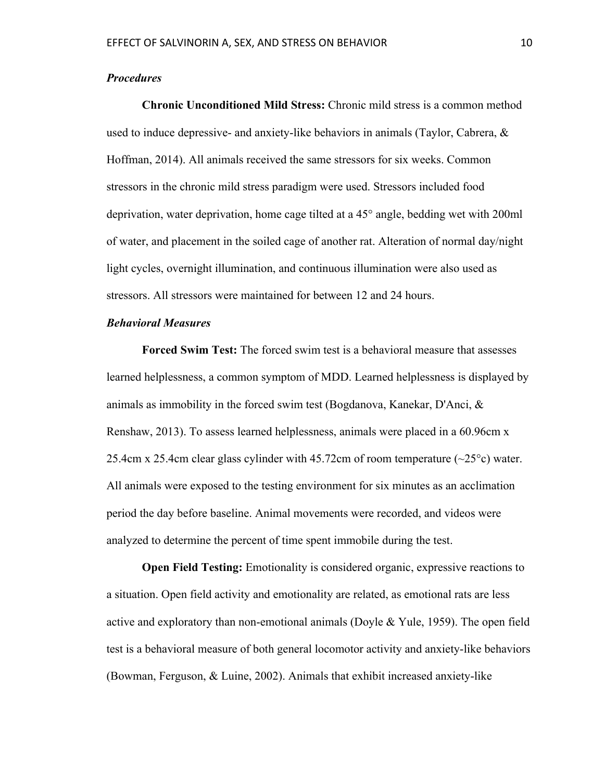#### *Procedures*

**Chronic Unconditioned Mild Stress:** Chronic mild stress is a common method used to induce depressive- and anxiety-like behaviors in animals (Taylor, Cabrera, & Hoffman, 2014). All animals received the same stressors for six weeks. Common stressors in the chronic mild stress paradigm were used. Stressors included food deprivation, water deprivation, home cage tilted at a 45° angle, bedding wet with 200ml of water, and placement in the soiled cage of another rat. Alteration of normal day/night light cycles, overnight illumination, and continuous illumination were also used as stressors. All stressors were maintained for between 12 and 24 hours.

#### *Behavioral Measures*

**Forced Swim Test:** The forced swim test is a behavioral measure that assesses learned helplessness, a common symptom of MDD. Learned helplessness is displayed by animals as immobility in the forced swim test (Bogdanova, Kanekar, D'Anci,  $\&$ Renshaw, 2013). To assess learned helplessness, animals were placed in a 60.96cm x 25.4cm x 25.4cm clear glass cylinder with 45.72cm of room temperature  $(\sim 25^{\circ}c)$  water. All animals were exposed to the testing environment for six minutes as an acclimation period the day before baseline. Animal movements were recorded, and videos were analyzed to determine the percent of time spent immobile during the test.

**Open Field Testing:** Emotionality is considered organic, expressive reactions to a situation. Open field activity and emotionality are related, as emotional rats are less active and exploratory than non-emotional animals (Doyle & Yule, 1959). The open field test is a behavioral measure of both general locomotor activity and anxiety-like behaviors (Bowman, Ferguson, & Luine, 2002). Animals that exhibit increased anxiety-like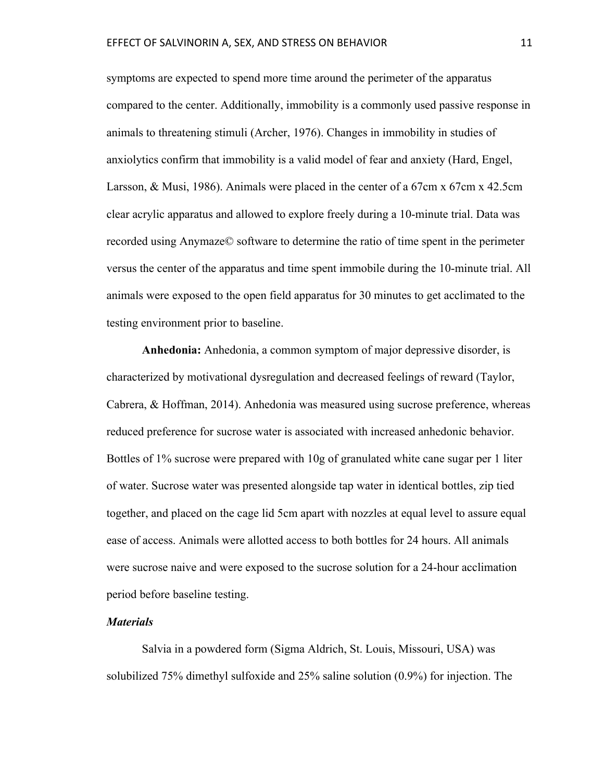symptoms are expected to spend more time around the perimeter of the apparatus compared to the center. Additionally, immobility is a commonly used passive response in animals to threatening stimuli (Archer, 1976). Changes in immobility in studies of anxiolytics confirm that immobility is a valid model of fear and anxiety (Hard, Engel, Larsson, & Musi, 1986). Animals were placed in the center of a 67cm x 67cm x 42.5cm clear acrylic apparatus and allowed to explore freely during a 10-minute trial. Data was recorded using Anymaze© software to determine the ratio of time spent in the perimeter versus the center of the apparatus and time spent immobile during the 10-minute trial. All animals were exposed to the open field apparatus for 30 minutes to get acclimated to the testing environment prior to baseline.

**Anhedonia:** Anhedonia, a common symptom of major depressive disorder, is characterized by motivational dysregulation and decreased feelings of reward (Taylor, Cabrera, & Hoffman, 2014). Anhedonia was measured using sucrose preference, whereas reduced preference for sucrose water is associated with increased anhedonic behavior. Bottles of 1% sucrose were prepared with 10g of granulated white cane sugar per 1 liter of water. Sucrose water was presented alongside tap water in identical bottles, zip tied together, and placed on the cage lid 5cm apart with nozzles at equal level to assure equal ease of access. Animals were allotted access to both bottles for 24 hours. All animals were sucrose naive and were exposed to the sucrose solution for a 24-hour acclimation period before baseline testing.

#### *Materials*

Salvia in a powdered form (Sigma Aldrich, St. Louis, Missouri, USA) was solubilized 75% dimethyl sulfoxide and 25% saline solution (0.9%) for injection. The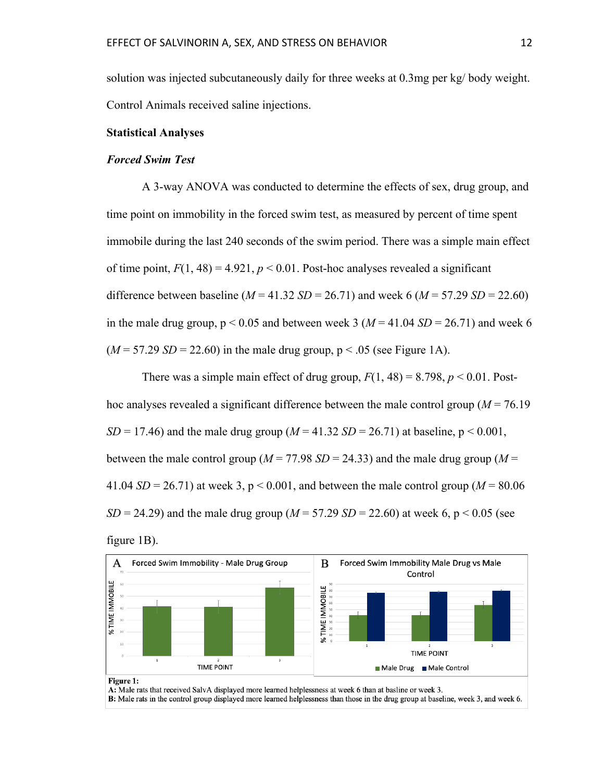solution was injected subcutaneously daily for three weeks at 0.3mg per kg/ body weight. Control Animals received saline injections.

#### **Statistical Analyses**

#### *Forced Swim Test*

A 3-way ANOVA was conducted to determine the effects of sex, drug group, and time point on immobility in the forced swim test, as measured by percent of time spent immobile during the last 240 seconds of the swim period. There was a simple main effect of time point,  $F(1, 48) = 4.921$ ,  $p < 0.01$ . Post-hoc analyses revealed a significant difference between baseline  $(M = 41.32 S/D = 26.71)$  and week 6  $(M = 57.29 S/D = 22.60)$ in the male drug group,  $p < 0.05$  and between week 3 ( $M = 41.04$  SD = 26.71) and week 6  $(M = 57.29 \text{ SD} = 22.60)$  in the male drug group,  $p < .05$  (see Figure 1A).

There was a simple main effect of drug group,  $F(1, 48) = 8.798$ ,  $p < 0.01$ . Posthoc analyses revealed a significant difference between the male control group (*M* = 76.19 *SD* = 17.46) and the male drug group ( $M = 41.32$  *SD* = 26.71) at baseline, p < 0.001, between the male control group ( $M = 77.98$  *SD* = 24.33) and the male drug group ( $M =$ 41.04  $SD = 26.71$ ) at week 3,  $p < 0.001$ , and between the male control group ( $M = 80.06$ ) *SD* = 24.29) and the male drug group ( $M = 57.29$  *SD* = 22.60) at week 6, p < 0.05 (see figure 1B).





A: Male rats that received SalvA displayed more learned helplessness at week 6 than at basline or week 3.

B: Male rats in the control group displayed more learned helplessness than those in the drug group at baseline, week 3, and week 6.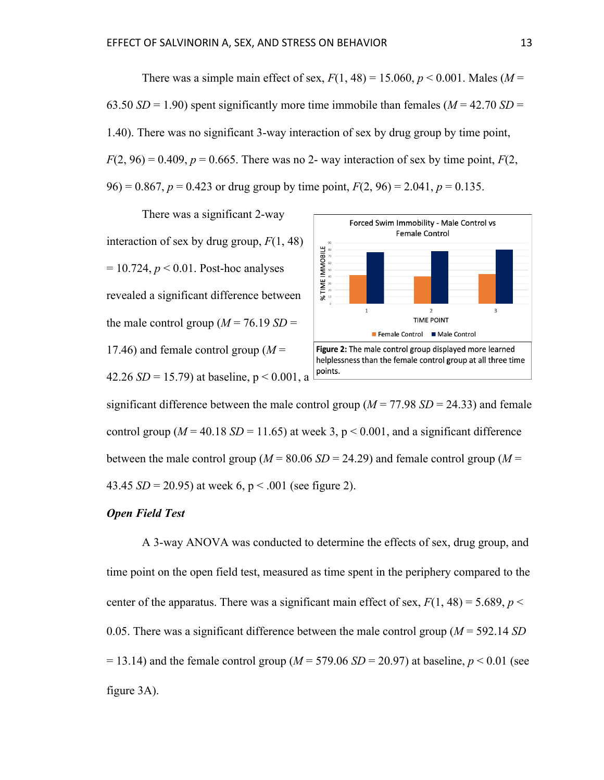There was a simple main effect of sex,  $F(1, 48) = 15.060$ ,  $p < 0.001$ . Males ( $M =$ 63.50  $SD = 1.90$ ) spent significantly more time immobile than females ( $M = 42.70$   $SD =$ 1.40). There was no significant 3-way interaction of sex by drug group by time point,  $F(2, 96) = 0.409$ ,  $p = 0.665$ . There was no 2- way interaction of sex by time point,  $F(2, 96)$  $96$ ) = 0.867,  $p = 0.423$  or drug group by time point,  $F(2, 96) = 2.041$ ,  $p = 0.135$ .

There was a significant 2-way interaction of sex by drug group, *F*(1, 48) = 10.724, *p* < 0.01. Post-hoc analyses revealed a significant difference between the male control group  $(M = 76.19 S/D =$ 17.46) and female control group  $(M =$ 42.26 *SD* = 15.79) at baseline,  $p < 0.001$ , a



significant difference between the male control group ( $M = 77.98$   $SD = 24.33$ ) and female control group ( $M = 40.18$  SD = 11.65) at week 3, p < 0.001, and a significant difference between the male control group ( $M = 80.06$  SD = 24.29) and female control group ( $M =$ 43.45  $SD = 20.95$ ) at week 6, p < .001 (see figure 2).

#### *Open Field Test*

A 3-way ANOVA was conducted to determine the effects of sex, drug group, and time point on the open field test, measured as time spent in the periphery compared to the center of the apparatus. There was a significant main effect of sex,  $F(1, 48) = 5.689$ ,  $p <$ 0.05. There was a significant difference between the male control group (*M* = 592.14 *SD*  $= 13.14$ ) and the female control group ( $M = 579.06$  *SD* = 20.97) at baseline,  $p < 0.01$  (see figure 3A).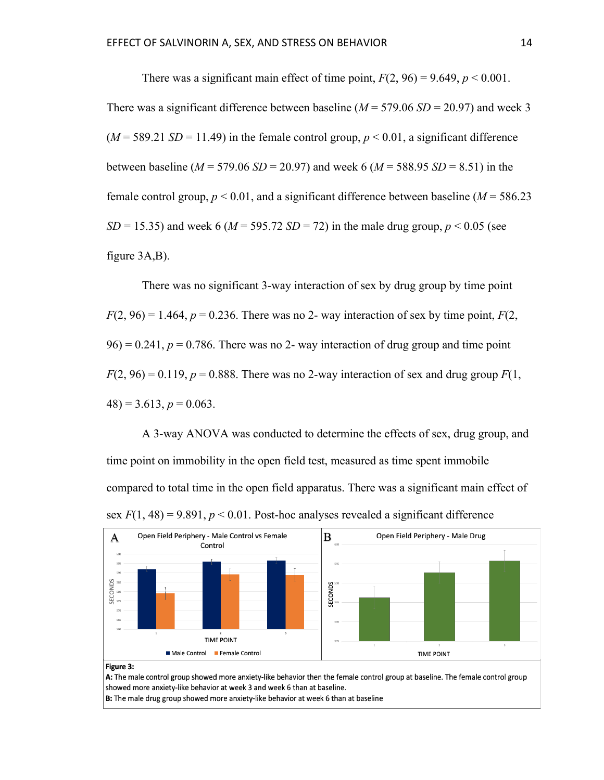There was a significant main effect of time point,  $F(2, 96) = 9.649$ ,  $p < 0.001$ . There was a significant difference between baseline  $(M = 579.06 SD = 20.97)$  and week 3  $(M = 589.21 \text{ } SD = 11.49)$  in the female control group,  $p \le 0.01$ , a significant difference between baseline (*M* = 579.06 *SD* = 20.97) and week 6 (*M* = 588.95 *SD* = 8.51) in the female control group,  $p < 0.01$ , and a significant difference between baseline ( $M = 586.23$ ) *SD* = 15.35) and week 6 (*M* = 595.72 *SD* = 72) in the male drug group,  $p < 0.05$  (see figure 3A,B).

There was no significant 3-way interaction of sex by drug group by time point  $F(2, 96) = 1.464$ ,  $p = 0.236$ . There was no 2- way interaction of sex by time point,  $F(2, 96)$  $96$ ) = 0.241,  $p = 0.786$ . There was no 2- way interaction of drug group and time point  $F(2, 96) = 0.119$ ,  $p = 0.888$ . There was no 2-way interaction of sex and drug group  $F(1, 96)$  $48$ ) = 3.613,  $p = 0.063$ .

A 3-way ANOVA was conducted to determine the effects of sex, drug group, and time point on immobility in the open field test, measured as time spent immobile compared to total time in the open field apparatus. There was a significant main effect of sex  $F(1, 48) = 9.891$ ,  $p < 0.01$ . Post-hoc analyses revealed a significant difference



#### Figure 3:

A: The male control group showed more anxiety-like behavior then the female control group at baseline. The female control group showed more anxiety-like behavior at week 3 and week 6 than at baseline.

B: The male drug group showed more anxiety-like behavior at week 6 than at baseline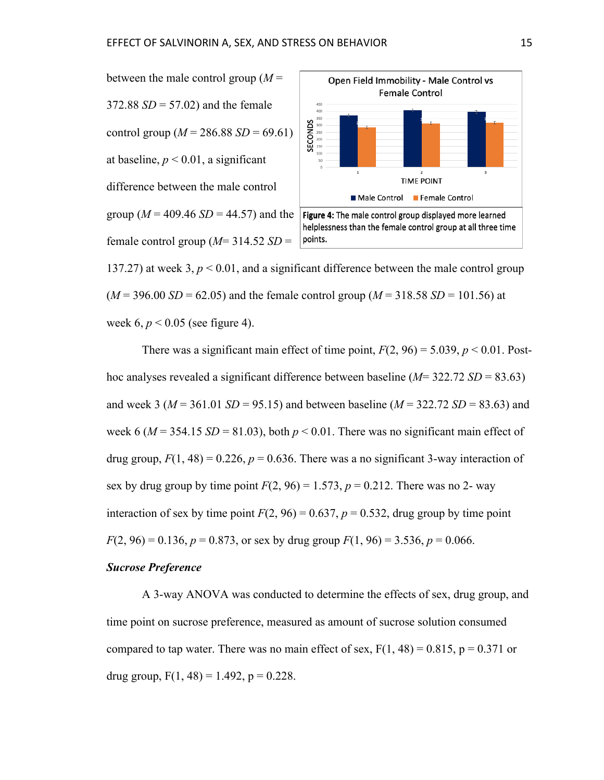



137.27) at week 3,  $p < 0.01$ , and a significant difference between the male control group  $(M = 396.00 \text{ SD} = 62.05)$  and the female control group  $(M = 318.58 \text{ SD} = 101.56)$  at week 6, *p* < 0.05 (see figure 4).

There was a significant main effect of time point,  $F(2, 96) = 5.039$ ,  $p < 0.01$ . Posthoc analyses revealed a significant difference between baseline (*M*= 322.72 *SD* = 83.63) and week 3 (*M* = 361.01 *SD* = 95.15) and between baseline (*M* = 322.72 *SD* = 83.63) and week 6 ( $M = 354.15$  *SD* = 81.03), both  $p < 0.01$ . There was no significant main effect of drug group,  $F(1, 48) = 0.226$ ,  $p = 0.636$ . There was a no significant 3-way interaction of sex by drug group by time point  $F(2, 96) = 1.573$ ,  $p = 0.212$ . There was no 2- way interaction of sex by time point  $F(2, 96) = 0.637$ ,  $p = 0.532$ , drug group by time point  $F(2, 96) = 0.136$ ,  $p = 0.873$ , or sex by drug group  $F(1, 96) = 3.536$ ,  $p = 0.066$ .

#### *Sucrose Preference*

A 3-way ANOVA was conducted to determine the effects of sex, drug group, and time point on sucrose preference, measured as amount of sucrose solution consumed compared to tap water. There was no main effect of sex,  $F(1, 48) = 0.815$ ,  $p = 0.371$  or drug group,  $F(1, 48) = 1.492$ ,  $p = 0.228$ .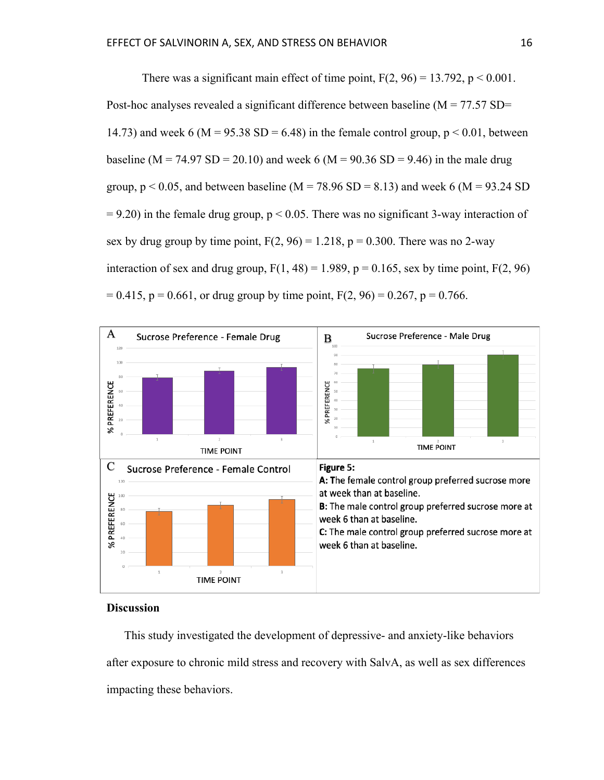There was a significant main effect of time point,  $F(2, 96) = 13.792$ ,  $p < 0.001$ . Post-hoc analyses revealed a significant difference between baseline  $(M = 77.57 S$ D= 14.73) and week 6 (M = 95.38 SD = 6.48) in the female control group,  $p < 0.01$ , between baseline (M = 74.97 SD = 20.10) and week 6 (M = 90.36 SD = 9.46) in the male drug group,  $p < 0.05$ , and between baseline (M = 78.96 SD = 8.13) and week 6 (M = 93.24 SD  $= 9.20$ ) in the female drug group,  $p \le 0.05$ . There was no significant 3-way interaction of sex by drug group by time point,  $F(2, 96) = 1.218$ ,  $p = 0.300$ . There was no 2-way interaction of sex and drug group,  $F(1, 48) = 1.989$ ,  $p = 0.165$ , sex by time point,  $F(2, 96)$  $= 0.415$ , p = 0.661, or drug group by time point, F(2, 96) = 0.267, p = 0.766.



#### **Discussion**

This study investigated the development of depressive- and anxiety-like behaviors after exposure to chronic mild stress and recovery with SalvA, as well as sex differences impacting these behaviors.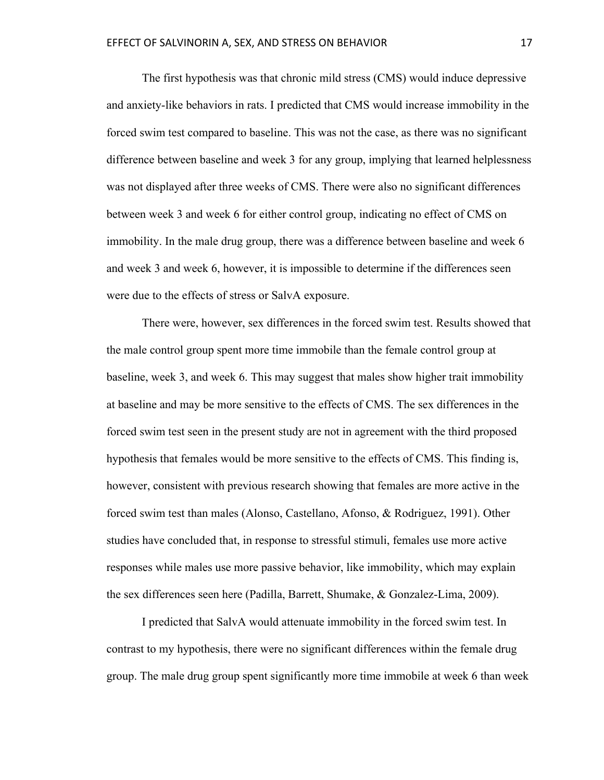The first hypothesis was that chronic mild stress (CMS) would induce depressive and anxiety-like behaviors in rats. I predicted that CMS would increase immobility in the forced swim test compared to baseline. This was not the case, as there was no significant difference between baseline and week 3 for any group, implying that learned helplessness was not displayed after three weeks of CMS. There were also no significant differences between week 3 and week 6 for either control group, indicating no effect of CMS on immobility. In the male drug group, there was a difference between baseline and week 6 and week 3 and week 6, however, it is impossible to determine if the differences seen were due to the effects of stress or SalvA exposure.

There were, however, sex differences in the forced swim test. Results showed that the male control group spent more time immobile than the female control group at baseline, week 3, and week 6. This may suggest that males show higher trait immobility at baseline and may be more sensitive to the effects of CMS. The sex differences in the forced swim test seen in the present study are not in agreement with the third proposed hypothesis that females would be more sensitive to the effects of CMS. This finding is, however, consistent with previous research showing that females are more active in the forced swim test than males (Alonso, Castellano, Afonso, & Rodriguez, 1991). Other studies have concluded that, in response to stressful stimuli, females use more active responses while males use more passive behavior, like immobility, which may explain the sex differences seen here (Padilla, Barrett, Shumake, & Gonzalez-Lima, 2009).

I predicted that SalvA would attenuate immobility in the forced swim test. In contrast to my hypothesis, there were no significant differences within the female drug group. The male drug group spent significantly more time immobile at week 6 than week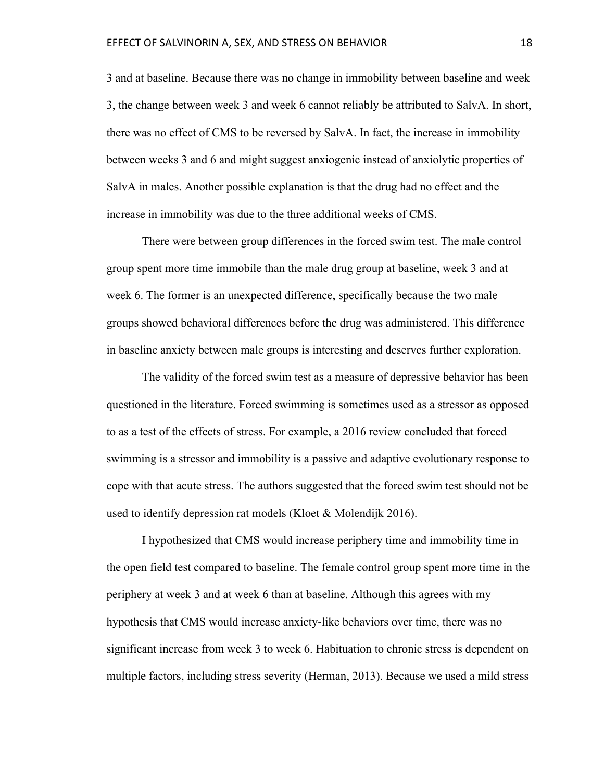3 and at baseline. Because there was no change in immobility between baseline and week 3, the change between week 3 and week 6 cannot reliably be attributed to SalvA. In short, there was no effect of CMS to be reversed by SalvA. In fact, the increase in immobility between weeks 3 and 6 and might suggest anxiogenic instead of anxiolytic properties of SalvA in males. Another possible explanation is that the drug had no effect and the increase in immobility was due to the three additional weeks of CMS.

There were between group differences in the forced swim test. The male control group spent more time immobile than the male drug group at baseline, week 3 and at week 6. The former is an unexpected difference, specifically because the two male groups showed behavioral differences before the drug was administered. This difference in baseline anxiety between male groups is interesting and deserves further exploration.

The validity of the forced swim test as a measure of depressive behavior has been questioned in the literature. Forced swimming is sometimes used as a stressor as opposed to as a test of the effects of stress. For example, a 2016 review concluded that forced swimming is a stressor and immobility is a passive and adaptive evolutionary response to cope with that acute stress. The authors suggested that the forced swim test should not be used to identify depression rat models (Kloet & Molendijk 2016).

I hypothesized that CMS would increase periphery time and immobility time in the open field test compared to baseline. The female control group spent more time in the periphery at week 3 and at week 6 than at baseline. Although this agrees with my hypothesis that CMS would increase anxiety-like behaviors over time, there was no significant increase from week 3 to week 6. Habituation to chronic stress is dependent on multiple factors, including stress severity (Herman, 2013). Because we used a mild stress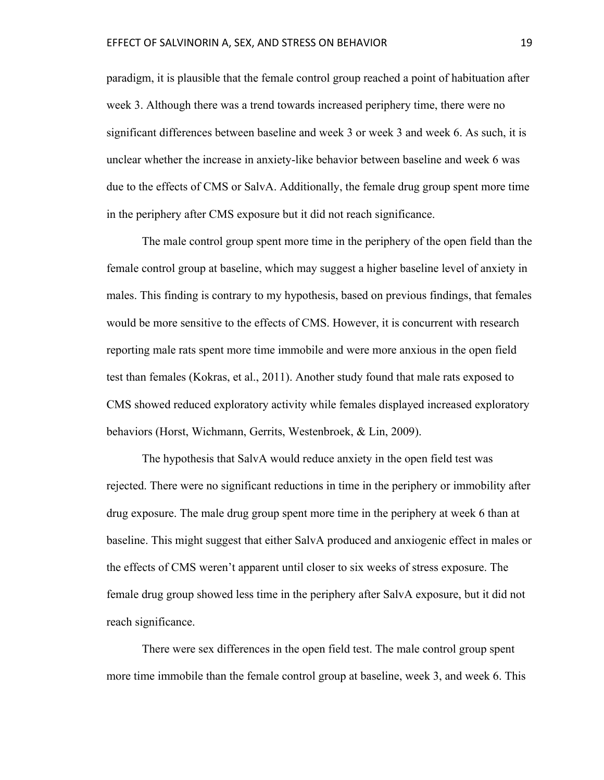paradigm, it is plausible that the female control group reached a point of habituation after week 3. Although there was a trend towards increased periphery time, there were no significant differences between baseline and week 3 or week 3 and week 6. As such, it is unclear whether the increase in anxiety-like behavior between baseline and week 6 was due to the effects of CMS or SalvA. Additionally, the female drug group spent more time in the periphery after CMS exposure but it did not reach significance.

The male control group spent more time in the periphery of the open field than the female control group at baseline, which may suggest a higher baseline level of anxiety in males. This finding is contrary to my hypothesis, based on previous findings, that females would be more sensitive to the effects of CMS. However, it is concurrent with research reporting male rats spent more time immobile and were more anxious in the open field test than females (Kokras, et al., 2011). Another study found that male rats exposed to CMS showed reduced exploratory activity while females displayed increased exploratory behaviors (Horst, Wichmann, Gerrits, Westenbroek, & Lin, 2009).

The hypothesis that SalvA would reduce anxiety in the open field test was rejected. There were no significant reductions in time in the periphery or immobility after drug exposure. The male drug group spent more time in the periphery at week 6 than at baseline. This might suggest that either SalvA produced and anxiogenic effect in males or the effects of CMS weren't apparent until closer to six weeks of stress exposure. The female drug group showed less time in the periphery after SalvA exposure, but it did not reach significance.

There were sex differences in the open field test. The male control group spent more time immobile than the female control group at baseline, week 3, and week 6. This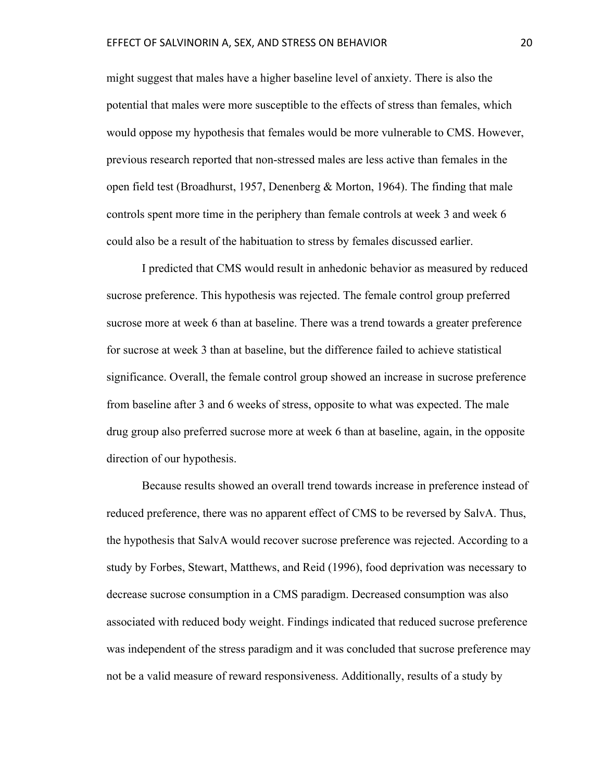might suggest that males have a higher baseline level of anxiety. There is also the potential that males were more susceptible to the effects of stress than females, which would oppose my hypothesis that females would be more vulnerable to CMS. However, previous research reported that non-stressed males are less active than females in the open field test (Broadhurst, 1957, Denenberg & Morton, 1964). The finding that male controls spent more time in the periphery than female controls at week 3 and week 6 could also be a result of the habituation to stress by females discussed earlier.

I predicted that CMS would result in anhedonic behavior as measured by reduced sucrose preference. This hypothesis was rejected. The female control group preferred sucrose more at week 6 than at baseline. There was a trend towards a greater preference for sucrose at week 3 than at baseline, but the difference failed to achieve statistical significance. Overall, the female control group showed an increase in sucrose preference from baseline after 3 and 6 weeks of stress, opposite to what was expected. The male drug group also preferred sucrose more at week 6 than at baseline, again, in the opposite direction of our hypothesis.

Because results showed an overall trend towards increase in preference instead of reduced preference, there was no apparent effect of CMS to be reversed by SalvA. Thus, the hypothesis that SalvA would recover sucrose preference was rejected. According to a study by Forbes, Stewart, Matthews, and Reid (1996), food deprivation was necessary to decrease sucrose consumption in a CMS paradigm. Decreased consumption was also associated with reduced body weight. Findings indicated that reduced sucrose preference was independent of the stress paradigm and it was concluded that sucrose preference may not be a valid measure of reward responsiveness. Additionally, results of a study by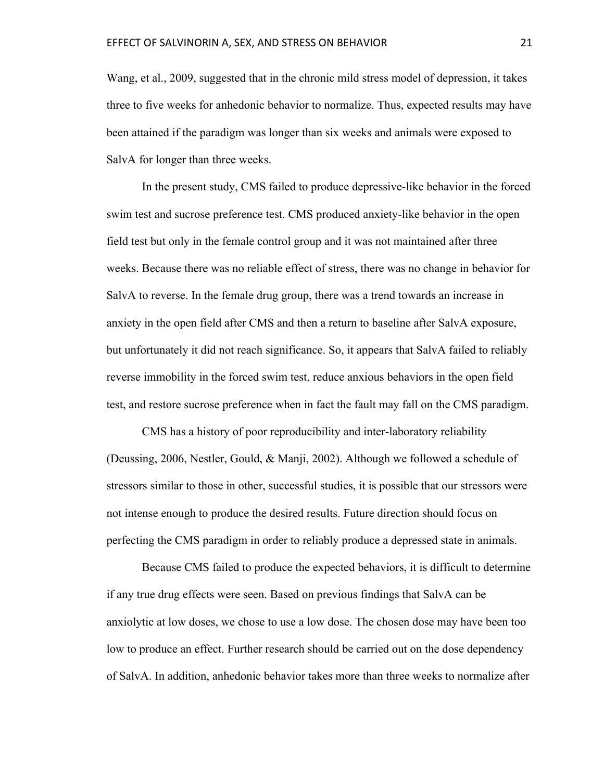Wang, et al., 2009, suggested that in the chronic mild stress model of depression, it takes three to five weeks for anhedonic behavior to normalize. Thus, expected results may have been attained if the paradigm was longer than six weeks and animals were exposed to SalvA for longer than three weeks.

In the present study, CMS failed to produce depressive-like behavior in the forced swim test and sucrose preference test. CMS produced anxiety-like behavior in the open field test but only in the female control group and it was not maintained after three weeks. Because there was no reliable effect of stress, there was no change in behavior for SalvA to reverse. In the female drug group, there was a trend towards an increase in anxiety in the open field after CMS and then a return to baseline after SalvA exposure, but unfortunately it did not reach significance. So, it appears that SalvA failed to reliably reverse immobility in the forced swim test, reduce anxious behaviors in the open field test, and restore sucrose preference when in fact the fault may fall on the CMS paradigm.

CMS has a history of poor reproducibility and inter-laboratory reliability (Deussing, 2006, Nestler, Gould, & Manji, 2002). Although we followed a schedule of stressors similar to those in other, successful studies, it is possible that our stressors were not intense enough to produce the desired results. Future direction should focus on perfecting the CMS paradigm in order to reliably produce a depressed state in animals.

Because CMS failed to produce the expected behaviors, it is difficult to determine if any true drug effects were seen. Based on previous findings that SalvA can be anxiolytic at low doses, we chose to use a low dose. The chosen dose may have been too low to produce an effect. Further research should be carried out on the dose dependency of SalvA. In addition, anhedonic behavior takes more than three weeks to normalize after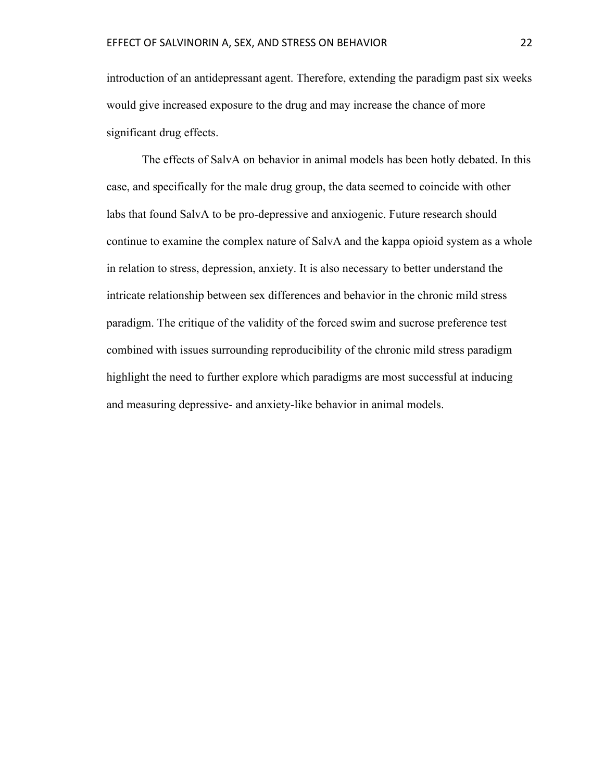introduction of an antidepressant agent. Therefore, extending the paradigm past six weeks would give increased exposure to the drug and may increase the chance of more significant drug effects.

The effects of SalvA on behavior in animal models has been hotly debated. In this case, and specifically for the male drug group, the data seemed to coincide with other labs that found SalvA to be pro-depressive and anxiogenic. Future research should continue to examine the complex nature of SalvA and the kappa opioid system as a whole in relation to stress, depression, anxiety. It is also necessary to better understand the intricate relationship between sex differences and behavior in the chronic mild stress paradigm. The critique of the validity of the forced swim and sucrose preference test combined with issues surrounding reproducibility of the chronic mild stress paradigm highlight the need to further explore which paradigms are most successful at inducing and measuring depressive- and anxiety-like behavior in animal models.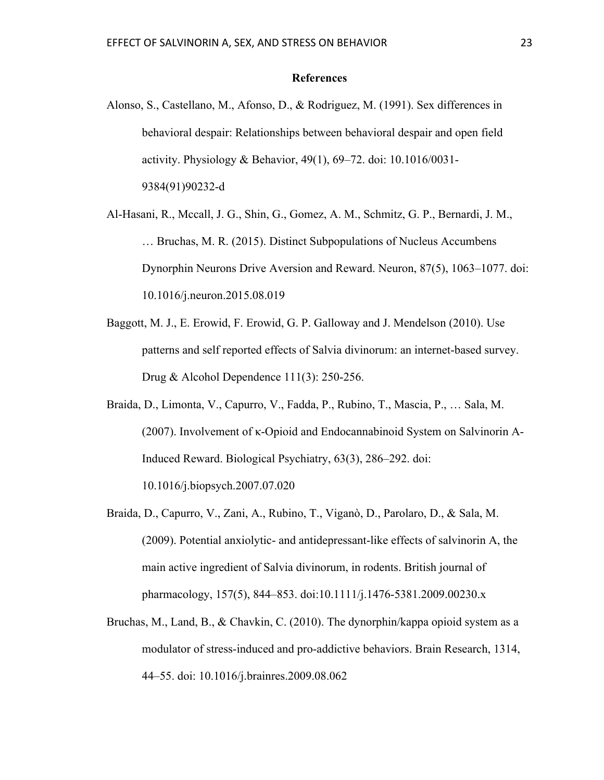#### **References**

- Alonso, S., Castellano, M., Afonso, D., & Rodriguez, M. (1991). Sex differences in behavioral despair: Relationships between behavioral despair and open field activity. Physiology & Behavior, 49(1), 69–72. doi: 10.1016/0031- 9384(91)90232-d
- Al-Hasani, R., Mccall, J. G., Shin, G., Gomez, A. M., Schmitz, G. P., Bernardi, J. M., … Bruchas, M. R. (2015). Distinct Subpopulations of Nucleus Accumbens Dynorphin Neurons Drive Aversion and Reward. Neuron, 87(5), 1063–1077. doi: 10.1016/j.neuron.2015.08.019
- Baggott, M. J., E. Erowid, F. Erowid, G. P. Galloway and J. Mendelson (2010). Use patterns and self reported effects of Salvia divinorum: an internet-based survey. Drug & Alcohol Dependence 111(3): 250-256.
- Braida, D., Limonta, V., Capurro, V., Fadda, P., Rubino, T., Mascia, P., … Sala, M. (2007). Involvement of κ-Opioid and Endocannabinoid System on Salvinorin A-Induced Reward. Biological Psychiatry, 63(3), 286–292. doi: 10.1016/j.biopsych.2007.07.020
- Braida, D., Capurro, V., Zani, A., Rubino, T., Viganò, D., Parolaro, D., & Sala, M. (2009). Potential anxiolytic- and antidepressant-like effects of salvinorin A, the main active ingredient of Salvia divinorum, in rodents. British journal of pharmacology, 157(5), 844–853. doi:10.1111/j.1476-5381.2009.00230.x
- Bruchas, M., Land, B., & Chavkin, C. (2010). The dynorphin/kappa opioid system as a modulator of stress-induced and pro-addictive behaviors. Brain Research, 1314, 44–55. doi: 10.1016/j.brainres.2009.08.062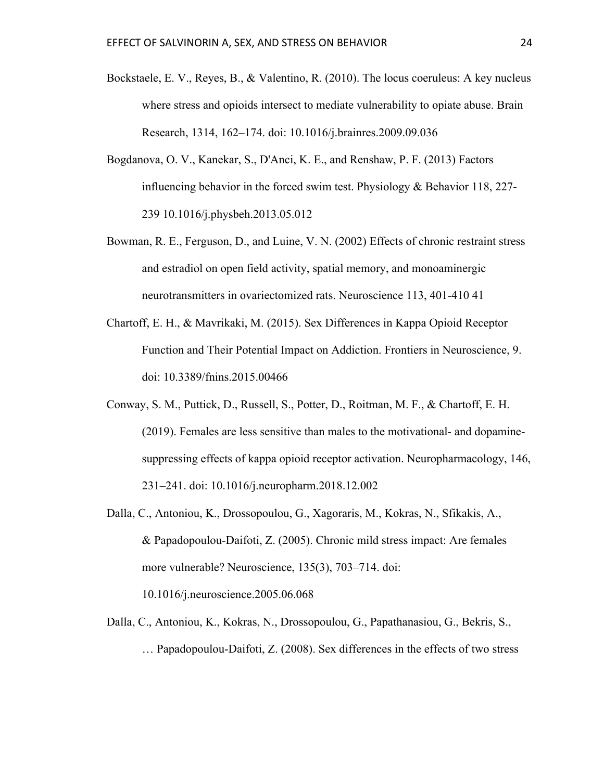- Bockstaele, E. V., Reyes, B., & Valentino, R. (2010). The locus coeruleus: A key nucleus where stress and opioids intersect to mediate vulnerability to opiate abuse. Brain Research, 1314, 162–174. doi: 10.1016/j.brainres.2009.09.036
- Bogdanova, O. V., Kanekar, S., D'Anci, K. E., and Renshaw, P. F. (2013) Factors influencing behavior in the forced swim test. Physiology & Behavior 118, 227- 239 10.1016/j.physbeh.2013.05.012
- Bowman, R. E., Ferguson, D., and Luine, V. N. (2002) Effects of chronic restraint stress and estradiol on open field activity, spatial memory, and monoaminergic neurotransmitters in ovariectomized rats. Neuroscience 113, 401-410 41
- Chartoff, E. H., & Mavrikaki, M. (2015). Sex Differences in Kappa Opioid Receptor Function and Their Potential Impact on Addiction. Frontiers in Neuroscience, 9. doi: 10.3389/fnins.2015.00466
- Conway, S. M., Puttick, D., Russell, S., Potter, D., Roitman, M. F., & Chartoff, E. H. (2019). Females are less sensitive than males to the motivational- and dopaminesuppressing effects of kappa opioid receptor activation. Neuropharmacology, 146, 231–241. doi: 10.1016/j.neuropharm.2018.12.002
- Dalla, C., Antoniou, K., Drossopoulou, G., Xagoraris, M., Kokras, N., Sfikakis, A., & Papadopoulou-Daifoti, Z. (2005). Chronic mild stress impact: Are females more vulnerable? Neuroscience, 135(3), 703–714. doi:

10.1016/j.neuroscience.2005.06.068

Dalla, C., Antoniou, K., Kokras, N., Drossopoulou, G., Papathanasiou, G., Bekris, S., … Papadopoulou-Daifoti, Z. (2008). Sex differences in the effects of two stress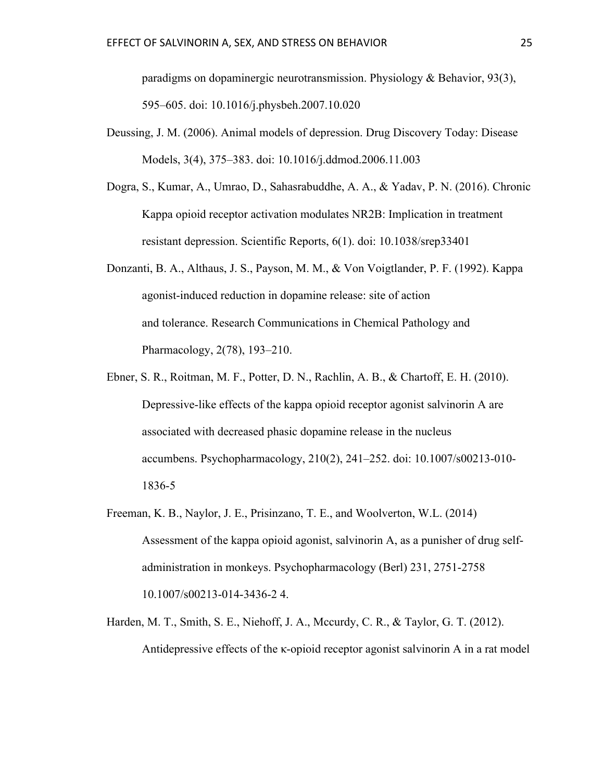paradigms on dopaminergic neurotransmission. Physiology & Behavior, 93(3), 595–605. doi: 10.1016/j.physbeh.2007.10.020

- Deussing, J. M. (2006). Animal models of depression. Drug Discovery Today: Disease Models, 3(4), 375–383. doi: 10.1016/j.ddmod.2006.11.003
- Dogra, S., Kumar, A., Umrao, D., Sahasrabuddhe, A. A., & Yadav, P. N. (2016). Chronic Kappa opioid receptor activation modulates NR2B: Implication in treatment resistant depression. Scientific Reports, 6(1). doi: 10.1038/srep33401
- Donzanti, B. A., Althaus, J. S., Payson, M. M., & Von Voigtlander, P. F. (1992). Kappa agonist-induced reduction in dopamine release: site of action and tolerance. Research Communications in Chemical Pathology and Pharmacology, 2(78), 193–210.
- Ebner, S. R., Roitman, M. F., Potter, D. N., Rachlin, A. B., & Chartoff, E. H. (2010). Depressive-like effects of the kappa opioid receptor agonist salvinorin A are associated with decreased phasic dopamine release in the nucleus accumbens. Psychopharmacology, 210(2), 241–252. doi: 10.1007/s00213-010- 1836-5
- Freeman, K. B., Naylor, J. E., Prisinzano, T. E., and Woolverton, W.L. (2014) Assessment of the kappa opioid agonist, salvinorin A, as a punisher of drug selfadministration in monkeys. Psychopharmacology (Berl) 231, 2751-2758 10.1007/s00213-014-3436-2 4.
- Harden, M. T., Smith, S. E., Niehoff, J. A., Mccurdy, C. R., & Taylor, G. T. (2012). Antidepressive effects of the κ-opioid receptor agonist salvinorin A in a rat model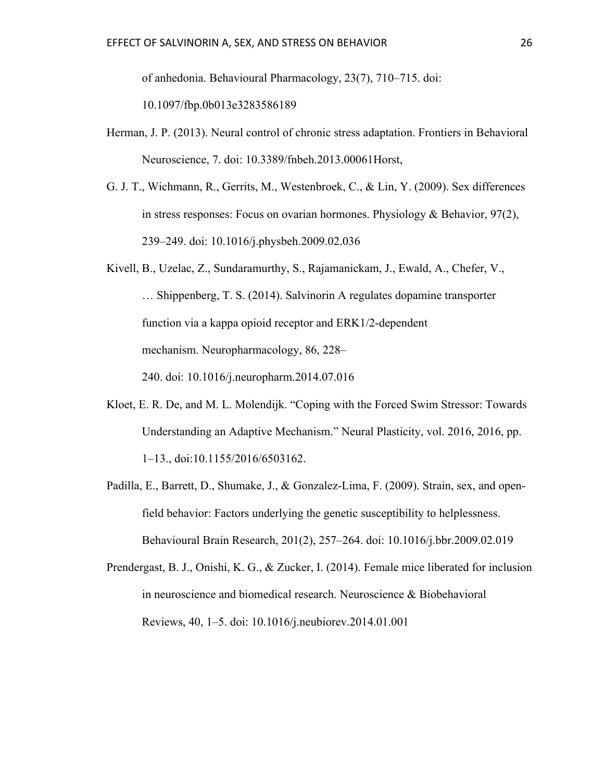of anhedonia. Behavioural Pharmacology, 23(7), 710–715. doi:

10.1097/fbp.0b013e3283586189

- Herman, J. P. (2013). Neural control of chronic stress adaptation. Frontiers in Behavioral Neuroscience, 7. doi: 10.3389/fnbeh.2013.00061Horst,
- G. J. T., Wichmann, R., Gerrits, M., Westenbroek, C., & Lin, Y. (2009). Sex differences in stress responses: Focus on ovarian hormones. Physiology & Behavior,  $97(2)$ , 239–249. doi: 10.1016/j.physbeh.2009.02.036
- Kivell, B., Uzelac, Z., Sundaramurthy, S., Rajamanickam, J., Ewald, A., Chefer, V., … Shippenberg, T. S. (2014). Salvinorin A regulates dopamine transporter function via a kappa opioid receptor and ERK1/2-dependent mechanism. Neuropharmacology, 86, 228– 240. doi: 10.1016/j.neuropharm.2014.07.016
- Kloet, E. R. De, and M. L. Molendijk. "Coping with the Forced Swim Stressor: Towards Understanding an Adaptive Mechanism." Neural Plasticity, vol. 2016, 2016, pp. 1–13., doi:10.1155/2016/6503162.
- Padilla, E., Barrett, D., Shumake, J., & Gonzalez-Lima, F. (2009). Strain, sex, and openfield behavior: Factors underlying the genetic susceptibility to helplessness. Behavioural Brain Research, 201(2), 257–264. doi: 10.1016/j.bbr.2009.02.019
- Prendergast, B. J., Onishi, K. G., & Zucker, I. (2014). Female mice liberated for inclusion in neuroscience and biomedical research. Neuroscience & Biobehavioral Reviews, 40, 1–5. doi: 10.1016/j.neubiorev.2014.01.001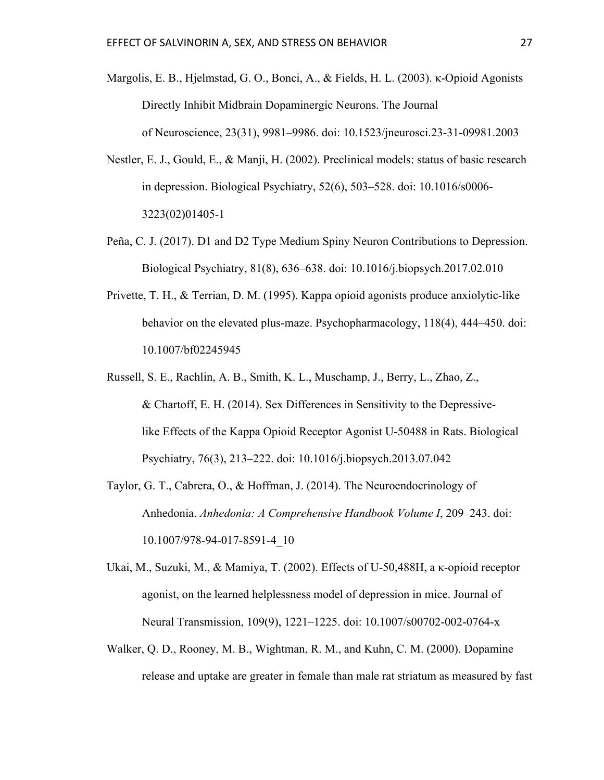- Margolis, E. B., Hjelmstad, G. O., Bonci, A., & Fields, H. L. (2003). κ-Opioid Agonists Directly Inhibit Midbrain Dopaminergic Neurons. The Journal of Neuroscience, 23(31), 9981–9986. doi: 10.1523/jneurosci.23-31-09981.2003
- Nestler, E. J., Gould, E., & Manji, H. (2002). Preclinical models: status of basic research in depression. Biological Psychiatry, 52(6), 503–528. doi: 10.1016/s0006- 3223(02)01405-1
- Peña, C. J. (2017). D1 and D2 Type Medium Spiny Neuron Contributions to Depression. Biological Psychiatry, 81(8), 636–638. doi: 10.1016/j.biopsych.2017.02.010
- Privette, T. H., & Terrian, D. M. (1995). Kappa opioid agonists produce anxiolytic-like behavior on the elevated plus-maze. Psychopharmacology, 118(4), 444–450. doi: 10.1007/bf02245945
- Russell, S. E., Rachlin, A. B., Smith, K. L., Muschamp, J., Berry, L., Zhao, Z., & Chartoff, E. H. (2014). Sex Differences in Sensitivity to the Depressivelike Effects of the Kappa Opioid Receptor Agonist U-50488 in Rats. Biological Psychiatry, 76(3), 213–222. doi: 10.1016/j.biopsych.2013.07.042
- Taylor, G. T., Cabrera, O., & Hoffman, J. (2014). The Neuroendocrinology of Anhedonia. *Anhedonia: A Comprehensive Handbook Volume I*, 209–243. doi: 10.1007/978-94-017-8591-4\_10
- Ukai, M., Suzuki, M., & Mamiya, T. (2002). Effects of U-50,488H, a κ-opioid receptor agonist, on the learned helplessness model of depression in mice. Journal of Neural Transmission, 109(9), 1221–1225. doi: 10.1007/s00702-002-0764-x
- Walker, Q. D., Rooney, M. B., Wightman, R. M., and Kuhn, C. M. (2000). Dopamine release and uptake are greater in female than male rat striatum as measured by fast